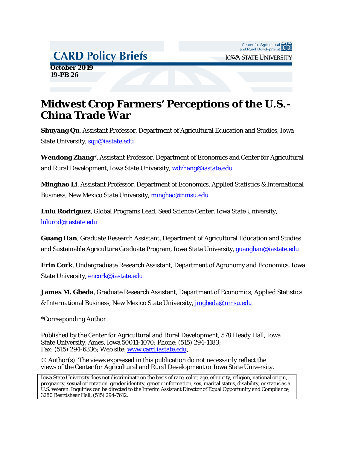# **CARD Policy Briefs**

Center for Agricultural CARD<br>and Rural Development **IOWA STATE UNIVERSITY** 

 **October 2019 19-PB 26**

# **Midwest Crop Farmers' Perceptions of the U.S.- China Trade War**

**Shuyang Qu**, Assistant Professor, Department of Agricultural Education and Studies, Iowa State University, [squ@iastate.edu](mailto:squ@iastate.edu)

**Wendong Zhang\***, Assistant Professor, Department of Economics and Center for Agricultural and Rural Development, Iowa State University, [wdzhang@iastate.edu](mailto:wdzhang@iastate.edu)

**Minghao Li**, Assistant Professor, Department of Economics, Applied Statistics & International Business, New Mexico State University, [minghao@nmsu.edu](mailto:minghao@nmsu.edu)

**Lulu Rodriguez**, Global Programs Lead, Seed Science Center, Iowa State University, [lulurod@iastate.edu](mailto:lulurod@iastate.edu)

**Guang Han**, Graduate Research Assistant, Department of Agricultural Education and Studies and Sustainable Agriculture Graduate Program, Iowa State University, [guanghan@iastate.edu](mailto:guanghan@iastate.edu)

**Erin Cork**, Undergraduate Research Assistant, Department of Agronomy and Economics, Iowa State University, [encork@iastate.edu](mailto:encork@iastate.edu)

**James M. Gbeda**, Graduate Research Assistant, Department of Economics, Applied Statistics & International Business, New Mexico State University, [jmgbeda@nmsu.edu](mailto:jmgbeda@nmsu.edu)

\*Corresponding Author

Published by the Center for Agricultural and Rural Development, 578 Heady Hall, Iowa State University, Ames, Iowa 50011-1070; Phone: (515) 294-1183; Fax: (515) 294-6336; Web site: [www.card.iastate.edu.](http://www.card.iastate.edu/)

© Author(s). The views expressed in this publication do not necessarily reflect the views of the Center for Agricultural and Rural Development or Iowa State University.

Iowa State University does not discriminate on the basis of race, color, age, ethnicity, religion, national origin, pregnancy, sexual orientation, gender identity, genetic information, sex, marital status, disability, or status as a U.S. veteran. Inquiries can be directed to the Interim Assistant Director of Equal Opportunity and Compliance, 3280 Beardshear Hall, (515) 294-7612.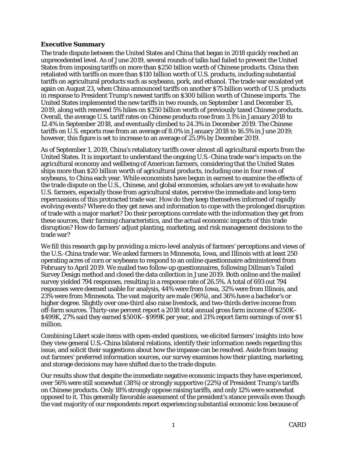## **Executive Summary**

The trade dispute between the United States and China that began in 2018 quickly reached an unprecedented level. As of June 2019, several rounds of talks had failed to prevent the United States from imposing tariffs on more than \$250 billion worth of Chinese products. China then retaliated with tariffs on more than \$110 billion worth of U.S. products, including substantial tariffs on agricultural products such as soybeans, pork, and ethanol. The trade war escalated yet again on August 23, when China announced tariffs on another \$75 billion worth of U.S. products in response to President Trump's newest tariffs on \$300 billion worth of Chinese imports. The United States implemented the new tariffs in two rounds, on September 1 and December 15, 2019, along with renewed 5% hikes on \$250 billion worth of previously taxed Chinese products. Overall, the average U.S. tariff rates on Chinese products rose from 3.1% in January 2018 to 12.4% in September 2018, and eventually climbed to 24.3% in December 2019. The Chinese tariffs on U.S. exports rose from an average of 8.0% in January 2018 to 16.5% in June 2019; however, this figure is set to increase to an average of 25.9% by December 2019.

As of September 1, 2019, China's retaliatory tariffs cover almost all agricultural exports from the United States. It is important to understand the ongoing U.S.-China trade war's impacts on the agricultural economy and wellbeing of American farmers, considering that the United States ships more than \$20 billion worth of agricultural products, including one in four rows of soybeans, to China each year. While economists have begun in earnest to examine the effects of the trade dispute on the U.S., Chinese, and global economies, scholars are yet to evaluate how U.S. farmers, especially those from agricultural states, perceive the immediate and long-term repercussions of this protracted trade war. How do they keep themselves informed of rapidly evolving events? Where do they get news and information to cope with the prolonged disruption of trade with a major market? Do their perceptions correlate with the information they get from these sources, their farming characteristics, and the actual economic impacts of this trade disruption? How do farmers' adjust planting, marketing, and risk management decisions to the trade war?

We fill this research gap by providing a micro-level analysis of farmers' perceptions and views of the U.S.-China trade war. We asked farmers in Minnesota, Iowa, and Illinois with at least 250 operating acres of corn or soybeans to respond to an online questionnaire administered from February to April 2019. We mailed two follow-up questionnaires, following Dillman's Tailed Survey Design method and closed the data collection in June 2019. Both online and the mailed survey yielded 794 responses, resulting in a response rate of 26.5%. A total of 693 out 794 responses were deemed usable for analysis, 44% were from Iowa, 32% were from Illinois, and 23% were from Minnesota. The vast majority are male (96%), and 36% have a bachelor's or higher degree. Slightly over one-third also raise livestock, and two-thirds derive income from off-farm sources. Thirty-one percent report a 2018 total annual gross farm income of \$250K– \$499K, 27% said they earned \$500K–\$999K per year, and 21% report farm earnings of over \$1 million.

Combining Likert scale items with open-ended questions, we elicited farmers' insights into how they view general U.S.-China bilateral relations, identify their information needs regarding this issue, and solicit their suggestions about how the impasse can be resolved. Aside from teasing out farmers' preferred information sources, our survey examines how their planting, marketing, and storage decisions may have shifted due to the trade dispute.

Our results show that despite the immediate negative economic impacts they have experienced, over 56% were still somewhat (38%) or strongly supportive (22%) of President Trump's tariffs on Chinese products. Only 18% strongly oppose raising tariffs, and only 12% were somewhat opposed to it. This generally favorable assessment of the president's stance prevails even though the vast majority of our respondents report experiencing substantial economic loss because of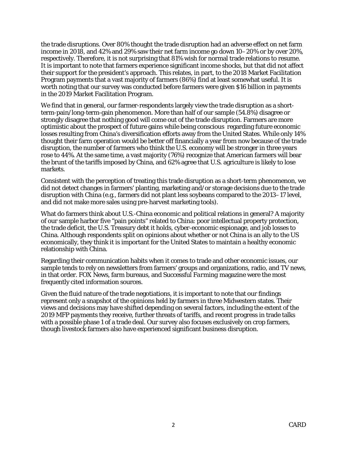the trade disruptions. Over 80% thought the trade disruption had an adverse effect on net farm income in 2018, and 42% and 29% saw their net farm income go down 10–20% or by over 20%, respectively. Therefore, it is not surprising that 81% wish for normal trade relations to resume. It is important to note that farmers experience significant income shocks, but that did not affect their support for the president's approach. This relates, in part, to the 2018 Market Facilitation Program payments that a vast majority of farmers (86%) find at least somewhat useful. It is worth noting that our survey was conducted before farmers were given \$16 billion in payments in the 2019 Market Facilitation Program.

We find that in general, our farmer-respondents largely view the trade disruption as a shortterm-pain/long-term-gain phenomenon. More than half of our sample (54.8%) disagree or strongly disagree that nothing good will come out of the trade disruption. Farmers are more optimistic about the prospect of future gains while being conscious regarding future economic losses resulting from China's diversification efforts away from the United States. While only 14% thought their farm operation would be better off financially a year from now because of the trade disruption, the number of farmers who think the U.S. economy will be stronger in three years rose to 44%. At the same time, a vast majority (76%) recognize that American farmers will bear the brunt of the tariffs imposed by China, and 62% agree that U.S. agriculture is likely to lose markets.

Consistent with the perception of treating this trade disruption as a short-term phenomenon, we did not detect changes in farmers' planting, marketing and/or storage decisions due to the trade disruption with China (e.g., farmers did not plant less soybeans compared to the 2013–17 level, and did not make more sales using pre-harvest marketing tools).

What do farmers think about U.S.-China economic and political relations in general? A majority of our sample harbor five "pain points" related to China: poor intellectual property protection, the trade deficit, the U.S. Treasury debt it holds, cyber-economic espionage, and job losses to China. Although respondents split on opinions about whether or not China is an ally to the US economically, they think it is important for the United States to maintain a healthy economic relationship with China.

Regarding their communication habits when it comes to trade and other economic issues, our sample tends to rely on newsletters from farmers' groups and organizations, radio, and TV news, in that order. FOX News, farm bureaus, and *Successful Farming* magazine were the most frequently cited information sources.

Given the fluid nature of the trade negotiations, it is important to note that our findings represent only a snapshot of the opinions held by farmers in three Midwestern states. Their views and decisions may have shifted depending on several factors, including the extent of the 2019 MFP payments they receive, further threats of tariffs, and recent progress in trade talks with a possible phase 1 of a trade deal. Our survey also focuses exclusively on crop farmers, though livestock farmers also have experienced significant business disruption.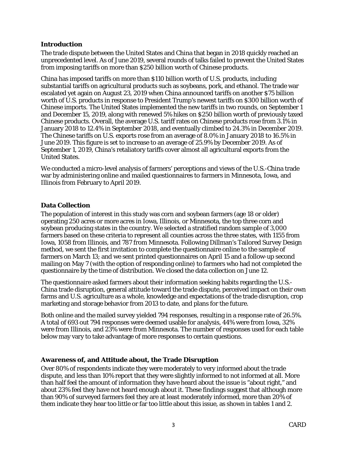## **Introduction**

The trade dispute between the United States and China that began in 2018 quickly reached an unprecedented level. As of June 2019, several rounds of talks failed to prevent the United States from imposing tariffs on more than \$250 billion worth of Chinese products.

China has imposed tariffs on more than \$110 billion worth of U.S. products, including substantial tariffs on agricultural products such as soybeans, pork, and ethanol. The trade war escalated yet again on August 23, 2019 when China announced tariffs on another \$75 billion worth of U.S. products in response to President Trump's newest tariffs on \$300 billion worth of Chinese imports. The United States implemented the new tariffs in two rounds, on September 1 and December 15, 2019, along with renewed 5% hikes on \$250 billion worth of previously taxed Chinese products. Overall, the average U.S. tariff rates on Chinese products rose from 3.1% in January 2018 to 12.4% in September 2018, and eventually climbed to 24.3% in December 2019. The Chinese tariffs on U.S. exports rose from an average of 8.0% in January 2018 to 16.5% in June 2019. This figure is set to increase to an average of 25.9% by December 2019. As of September 1, 2019, China's retaliatory tariffs cover almost all agricultural exports from the United States.

We conducted a micro-level analysis of farmers' perceptions and views of the U.S.-China trade war by administering online and mailed questionnaires to farmers in Minnesota, Iowa, and Illinois from February to April 2019.

# **Data Collection**

The population of interest in this study was corn and soybean farmers (age 18 or older) operating 250 acres or more acres in Iowa, Illinois, or Minnesota, the top three corn and soybean producing states in the country. We selected a stratified random sample of 3,000 farmers based on these criteria to represent all counties across the three states, with 1155 from Iowa, 1058 from Illinois, and 787 from Minnesota. Following Dillman's Tailored Survey Design method, we sent the first invitation to complete the questionnaire online to the sample of farmers on March 13; and we sent printed questionnaires on April 15 and a follow-up second mailing on May 7 (with the option of responding online) to farmers who had not completed the questionnaire by the time of distribution. We closed the data collection on June 12.

The questionnaire asked farmers about their information seeking habits regarding the U.S.- China trade disruption, general attitude toward the trade dispute, perceived impact on their own farms and U.S. agriculture as a whole, knowledge and expectations of the trade disruption, crop marketing and storage behavior from 2013 to date, and plans for the future.

Both online and the mailed survey yielded 794 responses, resulting in a response rate of 26.5%. A total of 693 out 794 responses were deemed usable for analysis, 44% were from Iowa, 32% were from Illinois, and 23% were from Minnesota. The number of responses used for each table below may vary to take advantage of more responses to certain questions.

## **Awareness of, and Attitude about, the Trade Disruption**

Over 80% of respondents indicate they were moderately to very informed about the trade dispute, and less than 10% report that they were slightly informed to not informed at all. More than half feel the amount of information they have heard about the issue is "about right," and about 23% feel they have not heard enough about it. These findings suggest that although more than 90% of surveyed farmers feel they are at least moderately informed, more than 20% of them indicate they hear too little or far too little about this issue, as shown in tables 1 and 2.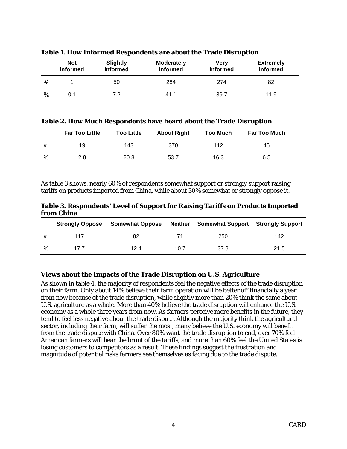|   | <b>Not</b><br><b>Informed</b> | Slightly<br><b>Informed</b> | <b>Moderately</b><br><b>Informed</b> | Very<br><b>Informed</b> | <b>Extremely</b><br>informed |
|---|-------------------------------|-----------------------------|--------------------------------------|-------------------------|------------------------------|
| # |                               | 50                          | 284                                  | 274                     | 82                           |
| % | 0.1                           | 7.2                         | 41.1                                 | 39.7                    | 11.9                         |

**Table 1. How Informed Respondents are about the Trade Disruption**

**Table 2. How Much Respondents have heard about the Trade Disruption**

|   | <b>Far Too Little</b> | <b>Too Little</b> | <b>About Right</b> | <b>Too Much</b> | <b>Far Too Much</b> |
|---|-----------------------|-------------------|--------------------|-----------------|---------------------|
| # | 19                    | 143               | 370                | 112             | 45                  |
| % | 2.8                   | 20.8              | 53.7               | 16.3            | 6.5                 |

As table 3 shows, nearly 60% of respondents somewhat support or strongly support raising tariffs on products imported from China, while about 30% somewhat or strongly oppose it.

**Table 3. Respondents' Level of Support for Raising Tariffs on Products Imported from China**

|   | <b>Strongly Oppose</b> | <b>Somewhat Oppose</b> | <b>Neither</b> | <b>Somewhat Support Strongly Support</b> |      |
|---|------------------------|------------------------|----------------|------------------------------------------|------|
| # | 117                    | 82                     | 71             | 250                                      | 142  |
| % | 17.7                   | 12.4                   | 10.7           | 37.8                                     | 21.5 |

## **Views about the Impacts of the Trade Disruption on U.S. Agriculture**

As shown in table 4, the majority of respondents feel the negative effects of the trade disruption on their farm. Only about 14% believe their farm operation will be better off financially a year from now because of the trade disruption, while slightly more than 20% think the same about U.S. agriculture as a whole. More than 40% believe the trade disruption will enhance the U.S. economy as a whole three years from now. As farmers perceive more benefits in the future, they tend to feel less negative about the trade dispute. Although the majority think the agricultural sector, including their farm, will suffer the most, many believe the U.S. economy will benefit from the trade dispute with China. Over 80% want the trade disruption to end, over 70% feel American farmers will bear the brunt of the tariffs, and more than 60% feel the United States is losing customers to competitors as a result. These findings suggest the frustration and magnitude of potential risks farmers see themselves as facing due to the trade dispute.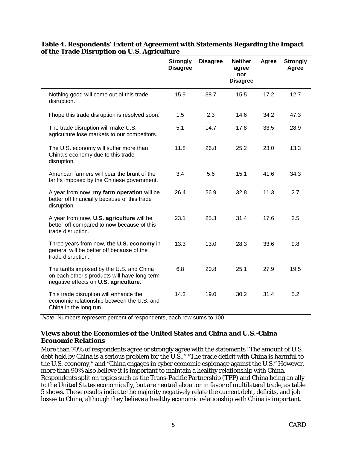|                                                                                                                                    | <b>Strongly</b><br><b>Disagree</b> | <b>Disagree</b> | <b>Neither</b><br>agree<br>nor<br><b>Disagree</b> | Agree | <b>Strongly</b><br>Agree |
|------------------------------------------------------------------------------------------------------------------------------------|------------------------------------|-----------------|---------------------------------------------------|-------|--------------------------|
| Nothing good will come out of this trade<br>disruption.                                                                            | 15.9                               | 38.7            | 15.5                                              | 17.2  | 12.7                     |
| I hope this trade disruption is resolved soon.                                                                                     | 1.5                                | 2.3             | 14.6                                              | 34.2  | 47.3                     |
| The trade disruption will make U.S.<br>agriculture lose markets to our competitors.                                                | 5.1                                | 14.7            | 17.8                                              | 33.5  | 28.9                     |
| The U.S. economy will suffer more than<br>China's economy due to this trade<br>disruption.                                         | 11.8                               | 26.8            | 25.2                                              | 23.0  | 13.3                     |
| American farmers will bear the brunt of the<br>tariffs imposed by the Chinese government.                                          | 3.4                                | 5.6             | 15.1                                              | 41.6  | 34.3                     |
| A year from now, my farm operation will be<br>better off financially because of this trade<br>disruption.                          | 26.4                               | 26.9            | 32.8                                              | 11.3  | 2.7                      |
| A year from now, U.S. agriculture will be<br>better off compared to now because of this<br>trade disruption.                       | 23.1                               | 25.3            | 31.4                                              | 17.6  | 2.5                      |
| Three years from now, the U.S. economy in<br>general will be better off because of the<br>trade disruption.                        | 13.3                               | 13.0            | 28.3                                              | 33.6  | 9.8                      |
| The tariffs imposed by the U.S. and China<br>on each other's products will have long-term<br>negative effects on U.S. agriculture. | 6.8                                | 20.8            | 25.1                                              | 27.9  | 19.5                     |
| This trade disruption will enhance the<br>economic relationship between the U.S. and<br>China in the long run.                     | 14.3                               | 19.0            | 30.2                                              | 31.4  | 5.2                      |

## **Table 4. Respondents' Extent of Agreement with Statements Regarding the Impact of the Trade Disruption on U.S. Agriculture**

*Note*: Numbers represent percent of respondents, each row sums to 100.

# **Views about the Economies of the United States and China and U.S.-China Economic Relations**

More than 70% of respondents agree or strongly agree with the statements "The amount of U.S. debt held by China is a serious problem for the U.S.," "The trade deficit with China is harmful to the U.S. economy," and "China engages in cyber economic espionage against the U.S." However, more than 90% also believe it is important to maintain a healthy relationship with China. Respondents split on topics such as the Trans-Pacific Partnership (TPP) and China being an ally to the United States economically, but are neutral about or in favor of multilateral trade, as table 5 shows. These results indicate the majority negatively relate the current debt, deficits, and job losses to China, although they believe a healthy economic relationship with China is important.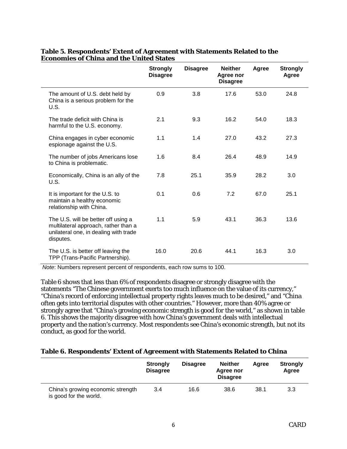|                                                                                                                                   | <b>Strongly</b><br><b>Disagree</b> | <b>Disagree</b> | <b>Neither</b><br>Agree nor<br><b>Disagree</b> | Agree | <b>Strongly</b><br>Agree |
|-----------------------------------------------------------------------------------------------------------------------------------|------------------------------------|-----------------|------------------------------------------------|-------|--------------------------|
| The amount of U.S. debt held by<br>China is a serious problem for the<br>U.S.                                                     | 0.9                                | 3.8             | 17.6                                           | 53.0  | 24.8                     |
| The trade deficit with China is<br>harmful to the U.S. economy.                                                                   | 2.1                                | 9.3             | 16.2                                           | 54.0  | 18.3                     |
| China engages in cyber economic<br>espionage against the U.S.                                                                     | 1.1                                | 1.4             | 27.0                                           | 43.2  | 27.3                     |
| The number of jobs Americans lose<br>to China is problematic.                                                                     | 1.6                                | 8.4             | 26.4                                           | 48.9  | 14.9                     |
| Economically, China is an ally of the<br>U.S.                                                                                     | 7.8                                | 25.1            | 35.9                                           | 28.2  | 3.0                      |
| It is important for the U.S. to<br>maintain a healthy economic<br>relationship with China.                                        | 0.1                                | 0.6             | 7.2                                            | 67.0  | 25.1                     |
| The U.S. will be better off using a<br>multilateral approach, rather than a<br>unilateral one, in dealing with trade<br>disputes. | 1.1                                | 5.9             | 43.1                                           | 36.3  | 13.6                     |
| The U.S. is better off leaving the<br>TPP (Trans-Pacific Partnership).                                                            | 16.0                               | 20.6            | 44.1                                           | 16.3  | 3.0                      |

## **Table 5. Respondents' Extent of Agreement with Statements Related to the Economies of China and the United States**

*Note*: Numbers represent percent of respondents, each row sums to 100.

Table 6 shows that less than 6% of respondents disagree or strongly disagree with the statements "The Chinese government exerts too much influence on the value of its currency," "China's record of enforcing intellectual property rights leaves much to be desired," and "China often gets into territorial disputes with other countries." However, more than 40% agree or strongly agree that "China's growing economic strength is good for the world," as shown in table 6. This shows the majority disagree with how China's government deals with intellectual property and the nation's currency. Most respondents see China's economic strength, but not its conduct, as good for the world.

#### **Table 6. Respondents' Extent of Agreement with Statements Related to China**

|                                                             | <b>Strongly</b><br><b>Disagree</b> | <b>Disagree</b> | <b>Neither</b><br>Agree nor<br><b>Disagree</b> | Aaree | <b>Strongly</b><br>Agree |
|-------------------------------------------------------------|------------------------------------|-----------------|------------------------------------------------|-------|--------------------------|
| China's growing economic strength<br>is good for the world. | 3.4                                | 16.6            | 38.6                                           | 38.1  | 3.3                      |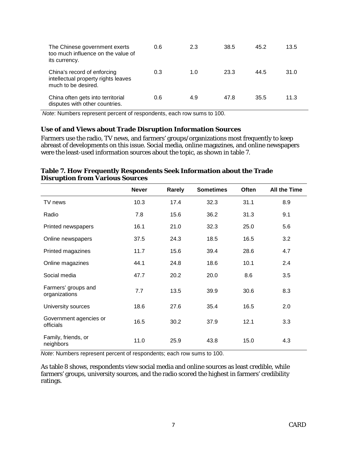| The Chinese government exerts<br>too much influence on the value of<br>its currency.      | 0.6 | 2.3 | 38.5 | 45.2 | 13.5 |
|-------------------------------------------------------------------------------------------|-----|-----|------|------|------|
| China's record of enforcing<br>intellectual property rights leaves<br>much to be desired. | 0.3 | 1.0 | 23.3 | 44.5 | 31.0 |
| China often gets into territorial<br>disputes with other countries.                       | 0.6 | 4.9 | 47.8 | 35.5 | 11.3 |

*Note*: Numbers represent percent of respondents, each row sums to 100.

### **Use of and Views about Trade Disruption Information Sources**

Farmers use the radio, TV news, and farmers' groups/organizations most frequently to keep abreast of developments on this issue. Social media, online magazines, and online newspapers were the least-used information sources about the topic, as shown in table 7.

|                                      | <b>Never</b> | Rarely | <b>Sometimes</b> | Often | All the Time |
|--------------------------------------|--------------|--------|------------------|-------|--------------|
| TV news                              | 10.3         | 17.4   | 32.3             | 31.1  | 8.9          |
| Radio                                | 7.8          | 15.6   | 36.2             | 31.3  | 9.1          |
| Printed newspapers                   | 16.1         | 21.0   | 32.3             | 25.0  | 5.6          |
| Online newspapers                    | 37.5         | 24.3   | 18.5             | 16.5  | 3.2          |
| Printed magazines                    | 11.7         | 15.6   | 39.4             | 28.6  | 4.7          |
| Online magazines                     | 44.1         | 24.8   | 18.6             | 10.1  | 2.4          |
| Social media                         | 47.7         | 20.2   | 20.0             | 8.6   | 3.5          |
| Farmers' groups and<br>organizations | 7.7          | 13.5   | 39.9             | 30.6  | 8.3          |
| University sources                   | 18.6         | 27.6   | 35.4             | 16.5  | 2.0          |
| Government agencies or<br>officials  | 16.5         | 30.2   | 37.9             | 12.1  | 3.3          |
| Family, friends, or<br>neighbors     | 11.0         | 25.9   | 43.8             | 15.0  | 4.3          |

## **Table 7. How Frequently Respondents Seek Information about the Trade Disruption from Various Sources**

*Note*: Numbers represent percent of respondents; each row sums to 100.

As table 8 shows, respondents view social media and online sources as least credible, while farmers' groups, university sources, and the radio scored the highest in farmers' credibility ratings.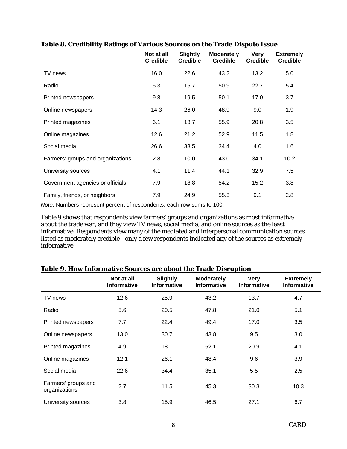|                                   | Not at all<br><b>Credible</b> | <b>Slightly</b><br><b>Credible</b> | <b>Moderately</b><br><b>Credible</b> | <b>Very</b><br><b>Credible</b> | <b>Extremely</b><br><b>Credible</b> |
|-----------------------------------|-------------------------------|------------------------------------|--------------------------------------|--------------------------------|-------------------------------------|
| TV news                           | 16.0                          | 22.6                               | 43.2                                 | 13.2                           | 5.0                                 |
| Radio                             | 5.3                           | 15.7                               | 50.9                                 | 22.7                           | 5.4                                 |
| Printed newspapers                | 9.8                           | 19.5                               | 50.1                                 | 17.0                           | 3.7                                 |
| Online newspapers                 | 14.3                          | 26.0                               | 48.9                                 | 9.0                            | 1.9                                 |
| Printed magazines                 | 6.1                           | 13.7                               | 55.9                                 | 20.8                           | 3.5                                 |
| Online magazines                  | 12.6                          | 21.2                               | 52.9                                 | 11.5                           | 1.8                                 |
| Social media                      | 26.6                          | 33.5                               | 34.4                                 | 4.0                            | 1.6                                 |
| Farmers' groups and organizations | 2.8                           | 10.0                               | 43.0                                 | 34.1                           | 10.2                                |
| University sources                | 4.1                           | 11.4                               | 44.1                                 | 32.9                           | 7.5                                 |
| Government agencies or officials  | 7.9                           | 18.8                               | 54.2                                 | 15.2                           | 3.8                                 |
| Family, friends, or neighbors     | 7.9                           | 24.9                               | 55.3                                 | 9.1                            | 2.8                                 |

## **Table 8. Credibility Ratings of Various Sources on the Trade Dispute Issue**

*Note*: Numbers represent percent of respondents; each row sums to 100.

Table 9 shows that respondents view farmers' groups and organizations as most informative about the trade war, and they view TV news, social media, and online sources as the least informative. Respondents view many of the mediated and interpersonal communication sources listed as moderately credible—only a few respondents indicated any of the sources as extremely informative.

|                                      | Not at all<br><b>Informative</b> | <b>Slightly</b><br><b>Informative</b> | <b>Moderately</b><br><b>Informative</b> | <b>Very</b><br><b>Informative</b> | <b>Extremely</b><br><b>Informative</b> |
|--------------------------------------|----------------------------------|---------------------------------------|-----------------------------------------|-----------------------------------|----------------------------------------|
| TV news                              | 12.6                             | 25.9                                  | 43.2                                    | 13.7                              | 4.7                                    |
| Radio                                | 5.6                              | 20.5                                  | 47.8                                    | 21.0                              | 5.1                                    |
| Printed newspapers                   | 7.7                              | 22.4                                  | 49.4                                    | 17.0                              | 3.5                                    |
| Online newspapers                    | 13.0                             | 30.7                                  | 43.8                                    | 9.5                               | 3.0                                    |
| Printed magazines                    | 4.9                              | 18.1                                  | 52.1                                    | 20.9                              | 4.1                                    |
| Online magazines                     | 12.1                             | 26.1                                  | 48.4                                    | 9.6                               | 3.9                                    |
| Social media                         | 22.6                             | 34.4                                  | 35.1                                    | 5.5                               | 2.5                                    |
| Farmers' groups and<br>organizations | 2.7                              | 11.5                                  | 45.3                                    | 30.3                              | 10.3                                   |
| University sources                   | 3.8                              | 15.9                                  | 46.5                                    | 27.1                              | 6.7                                    |

## **Table 9. How Informative Sources are about the Trade Disruption**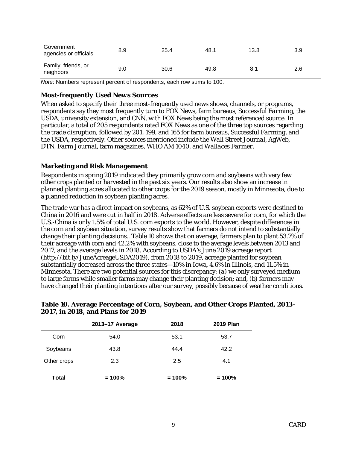| Government<br>agencies or officials | 8.9 | 25.4 | 48.1 | 13.8 | 3.9 |
|-------------------------------------|-----|------|------|------|-----|
| Family, friends, or<br>neighbors    | 9.0 | 30.6 | 49.8 | 8.1  | 2.6 |

*Note*: Numbers represent percent of respondents, each row sums to 100.

#### *Most-frequently Used News Sources*

When asked to specify their three most-frequently used news shows, channels, or programs, respondents say they most frequently turn to FOX News, farm bureaus, *Successful Farming*, the USDA, university extension, and CNN, with FOX News being the most referenced source. In particular, a total of 205 respondents rated FOX News as one of the three top sources regarding the trade disruption, followed by 201, 199, and 165 for farm bureaus, *Successful Farming*, and the USDA, respectively. Other sources mentioned include the *Wall Street Journal*, AgWeb, DTN, *Farm Journal*, farm magazines, WHO AM 1040, and *Wallaces Farmer*.

### **Marketing and Risk Management**

Respondents in spring 2019 indicated they primarily grow corn and soybeans with very few other crops planted or harvested in the past six years. Our results also show an increase in planned planting acres allocated to other crops for the 2019 season, mostly in Minnesota, due to a planned reduction in soybean planting acres.

The trade war has a direct impact on soybeans, as 62% of U.S. soybean exports were destined to China in 2016 and were cut in half in 2018. Adverse effects are less severe for corn, for which the U.S.-China is only 1.5% of total U.S. corn exports to the world. However, despite differences in the corn and soybean situation, survey results show that farmers do not intend to substantially change their planting decisions.. Table 10 shows that on average, farmers plan to plant 53.7% of their acreage with corn and 42.2% with soybeans, close to the average levels between 2013 and 2017, and the average levels in 2018. According to USDA's June 2019 acreage report (http://bit.ly/JuneAcreageUSDA2019), from 2018 to 2019, acreage planted for soybean substantially decreased across the three states—10% in Iowa, 4.6% in Illinois, and 11.5% in Minnesota. There are two potential sources for this discrepancy: (*a*) we only surveyed medium to large farms while smaller farms may change their planting decision; and, (*b*) farmers may have changed their planting intentions after our survey, possibly because of weather conditions.

|             | 2013-17 Average | 2018     | <b>2019 Plan</b> |
|-------------|-----------------|----------|------------------|
| Corn        | 54.0            | 53.1     | 53.7             |
| Soybeans    | 43.8            | 44.4     | 42.2             |
| Other crops | 2.3             | 2.5      | 4.1              |
| Total       | $= 100%$        | $= 100%$ | $= 100%$         |

### **Table 10. Average Percentage of Corn, Soybean, and Other Crops Planted, 2013– 2017, in 2018, and Plans for 2019**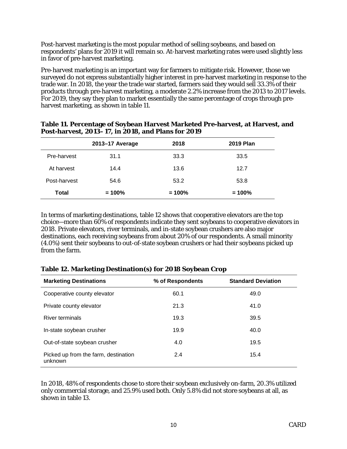Post-harvest marketing is the most popular method of selling soybeans, and based on respondents' plans for 2019 it will remain so. At-harvest marketing rates were used slightly less in favor of pre-harvest marketing.

Pre-harvest marketing is an important way for farmers to mitigate risk. However, those we surveyed do not express substantially higher interest in pre-harvest marketing in response to the trade war. In 2018, the year the trade war started, farmers said they would sell 33.3% of their products through pre-harvest marketing, a moderate 2.2% increase from the 2013 to 2017 levels. For 2019, they say they plan to market essentially the same percentage of crops through preharvest marketing, as shown in table 11.

|              | 2013-17 Average | 2018     | <b>2019 Plan</b> |
|--------------|-----------------|----------|------------------|
| Pre-harvest  | 31.1            | 33.3     | 33.5             |
| At harvest   | 14.4            | 13.6     | 12.7             |
| Post-harvest | 54.6            | 53.2     | 53.8             |
| <b>Total</b> | $= 100%$        | $= 100%$ | $= 100%$         |

| Table 11. Percentage of Soybean Harvest Marketed Pre-harvest, at Harvest, and |
|-------------------------------------------------------------------------------|
| Post-harvest, 2013–17, in 2018, and Plans for 2019                            |

In terms of marketing destinations, table 12 shows that cooperative elevators are the top choice—more than 60% of respondents indicate they sent soybeans to cooperative elevators in 2018. Private elevators, river terminals, and in-state soybean crushers are also major destinations, each receiving soybeans from about 20% of our respondents. A small minority (4.0%) sent their soybeans to out-of-state soybean crushers or had their soybeans picked up from the farm.

| <b>Marketing Destinations</b>                   | % of Respondents | <b>Standard Deviation</b> |
|-------------------------------------------------|------------------|---------------------------|
| Cooperative county elevator                     | 60.1             | 49.0                      |
| Private county elevator                         | 21.3             | 41.0                      |
| <b>River terminals</b>                          | 19.3             | 39.5                      |
| In-state soybean crusher                        | 19.9             | 40.0                      |
| Out-of-state soybean crusher                    | 4.0              | 19.5                      |
| Picked up from the farm, destination<br>unknown | 2.4              | 15.4                      |

## **Table 12. Marketing Destination(s) for 2018 Soybean Crop**

In 2018, 48% of respondents chose to store their soybean exclusively on-farm, 20.3% utilized only commercial storage, and 25.9% used both. Only 5.8% did not store soybeans at all, as shown in table 13.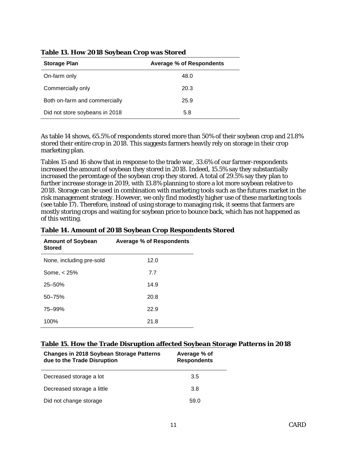| <b>Storage Plan</b>            | <b>Average % of Respondents</b> |
|--------------------------------|---------------------------------|
| On-farm only                   | 48.0                            |
| Commercially only              | 20.3                            |
| Both on-farm and commercially  | 25.9                            |
| Did not store soybeans in 2018 | 5.8                             |

### **Table 13. How 2018 Soybean Crop was Stored**

As table 14 shows, 65.5% of respondents stored more than 50% of their soybean crop and 21.8% stored their entire crop in 2018. This suggests farmers heavily rely on storage in their crop marketing plan.

Tables 15 and 16 show that in response to the trade war, 33.6% of our farmer-respondents increased the amount of soybean they stored in 2018. Indeed, 15.5% say they substantially increased the percentage of the soybean crop they stored. A total of 29.5% say they plan to further increase storage in 2019, with 13.8% planning to store a lot more soybean relative to 2018. Storage can be used in combination with marketing tools such as the futures market in the risk management strategy. However, we only find modestly higher use of these marketing tools (see table 17). Therefore, instead of using storage to managing risk, it seems that farmers are mostly storing crops and waiting for soybean price to bounce back, which has not happened as of this writing.

| <b>Amount of Soybean</b><br><b>Stored</b> | <b>Average % of Respondents</b> |
|-------------------------------------------|---------------------------------|
| None, including pre-sold                  | 12.0                            |
| Some, $<$ 25%                             | 7.7                             |
| $25 - 50%$                                | 14.9                            |
| $50 - 75%$                                | 20.8                            |
| 75-99%                                    | 22.9                            |
| 100%                                      | 21.8                            |

## **Table 14. Amount of 2018 Soybean Crop Respondents Stored**

#### **Table 15. How the Trade Disruption affected Soybean Storage Patterns in 2018**

| <b>Changes in 2018 Soybean Storage Patterns</b><br>due to the Trade Disruption | Average % of<br><b>Respondents</b> |
|--------------------------------------------------------------------------------|------------------------------------|
| Decreased storage a lot                                                        | 3.5                                |
| Decreased storage a little                                                     | 3.8                                |
| Did not change storage                                                         | 59.0                               |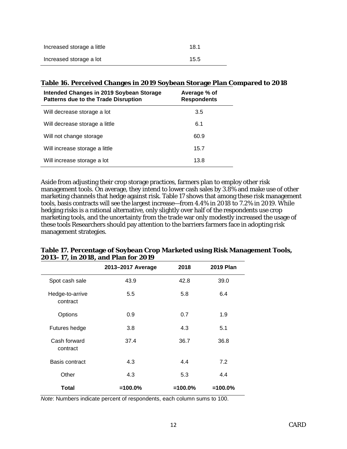| Increased storage a little | 181  |
|----------------------------|------|
| Increased storage a lot    | 15.5 |

## **Table 16. Perceived Changes in 2019 Soybean Storage Plan Compared to 2018**

| Intended Changes in 2019 Soybean Storage<br><b>Patterns due to the Trade Disruption</b> | Average % of<br><b>Respondents</b> |
|-----------------------------------------------------------------------------------------|------------------------------------|
| Will decrease storage a lot                                                             | 3.5                                |
| Will decrease storage a little                                                          | 6.1                                |
| Will not change storage                                                                 | 60.9                               |
| Will increase storage a little                                                          | 15.7                               |
| Will increase storage a lot                                                             | 13.8                               |

Aside from adjusting their crop storage practices, farmers plan to employ other risk management tools. On average, they intend to lower cash sales by 3.8% and make use of other marketing channels that hedge against risk. Table 17 shows that among these risk management tools, basis contracts will see the largest increase—from 4.4% in 2018 to 7.2% in 2019. While hedging risks is a rational alternative, only slightly over half of the respondents use crop marketing tools, and the uncertainty from the trade war only modestly increased the usage of these tools Researchers should pay attention to the barriers farmers face in adopting risk management strategies.

|                             | 2013-2017 Average | 2018      | <b>2019 Plan</b> |
|-----------------------------|-------------------|-----------|------------------|
| Spot cash sale              | 43.9              | 42.8      | 39.0             |
| Hedge-to-arrive<br>contract | 5.5               | 5.8       | 6.4              |
| Options                     | 0.9               | 0.7       | 1.9              |
| Futures hedge               | 3.8               | 4.3       | 5.1              |
| Cash forward<br>contract    | 37.4              | 36.7      | 36.8             |
| Basis contract              | 4.3               | 4.4       | 7.2              |
| Other                       | 4.3               | 5.3       | 4.4              |
| Total                       | $=100.0%$         | $=100.0%$ | $=100.0%$        |

**Table 17. Percentage of Soybean Crop Marketed using Risk Management Tools, 2013–17, in 2018, and Plan for 2019**

*Note*: Numbers indicate percent of respondents, each column sums to 100.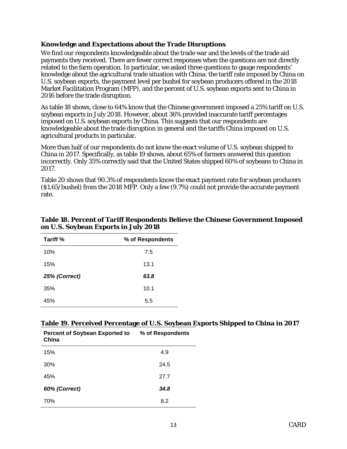## **Knowledge and Expectations about the Trade Disruptions**

We find our respondents knowledgeable about the trade war and the levels of the trade aid payments they received. There are fewer correct responses when the questions are not directly related to the farm operation. In particular, we asked three questions to gauge respondents' knowledge about the agricultural trade situation with China: the tariff rate imposed by China on U.S. soybean exports, the payment level per bushel for soybean producers offered in the 2018 Market Facilitation Program (MFP), and the percent of U.S. soybean exports sent to China in 2016 before the trade disruption.

As table 18 shows, close to 64% know that the Chinese government imposed a 25% tariff on U.S. soybean exports in July 2018. However, about 36% provided inaccurate tariff percentages imposed on U.S. soybean exports by China. This suggests that our respondents are knowledgeable about the trade disruption in general and the tariffs China imposed on U.S. agricultural products in particular.

More than half of our respondents do not know the exact volume of U.S. soybean shipped to China in 2017. Specifically, as table 19 shows, about 65% of farmers answered this question incorrectly. Only 35% correctly said that the United States shipped 60% of soybeans to China in 2017.

Table 20 shows that 90.3% of respondents know the exact payment rate for soybean producers (\$1.65/bushel) from the 2018 MFP. Only a few (9.7%) could not provide the accurate payment rate.

| Tariff %      | % of Respondents |
|---------------|------------------|
| 10%           | 7.5              |
| 15%           | 13.1             |
| 25% (Correct) | 63.8             |
| 35%           | 10.1             |
| 45%           | 5.5              |

## **Table 18. Percent of Tariff Respondents Believe the Chinese Government Imposed on U.S. Soybean Exports in July 2018**

#### **Table 19. Perceived Percentage of U.S. Soybean Exports Shipped to China in 2017**

| <b>Percent of Soybean Exported to</b><br>China | % of Respondents |
|------------------------------------------------|------------------|
| 15%                                            | 4.9              |
| 30%                                            | 24.5             |
| 45%                                            | 27.7             |
| 60% (Correct)                                  | 34.8             |
| 70%                                            | 8.2              |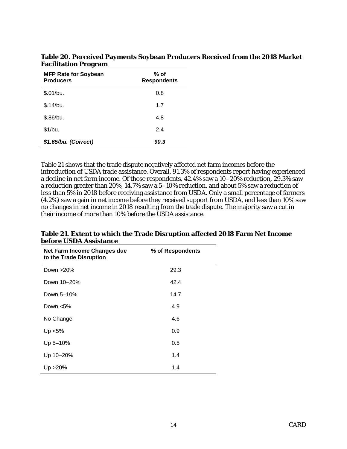| <b>MFP Rate for Soybean</b><br><b>Producers</b> | % of<br><b>Respondents</b> |
|-------------------------------------------------|----------------------------|
| \$.01/bu.                                       | 0.8                        |
| \$.14/bu.                                       | 1.7                        |
| \$.86/bu.                                       | 4.8                        |
| \$1/bu.                                         | 2.4                        |
| \$1.65/bu. (Correct)                            | 90.3                       |

**Table 20. Perceived Payments Soybean Producers Received from the 2018 Market Facilitation Program** 

Table 21 shows that the trade dispute negatively affected net farm incomes before the introduction of USDA trade assistance. Overall, 91.3% of respondents report having experienced a decline in net farm income. Of those respondents, 42.4% saw a 10–20% reduction, 29.3% saw a reduction greater than 20%, 14.7% saw a 5–10% reduction, and about 5% saw a reduction of less than 5% in 2018 before receiving assistance from USDA. Only a small percentage of farmers (4.2%) saw a gain in net income before they received support from USDA, and less than 10% saw no changes in net income in 2018 resulting from the trade dispute. The majority saw a cut in their income of more than 10% before the USDA assistance.

| Net Farm Income Changes due<br>to the Trade Disruption | % of Respondents |
|--------------------------------------------------------|------------------|
| Down >20%                                              | 29.3             |
| Down 10-20%                                            | 42.4             |
| Down 5-10%                                             | 14.7             |
| Down $< 5\%$                                           | 4.9              |
| No Change                                              | 4.6              |
| $Up < 5\%$                                             | 0.9              |
| Up 5-10%                                               | 0.5              |
| Up 10-20%                                              | 1.4              |
| Up > 20%                                               | 1.4              |

**Table 21. Extent to which the Trade Disruption affected 2018 Farm Net Income before USDA Assistance**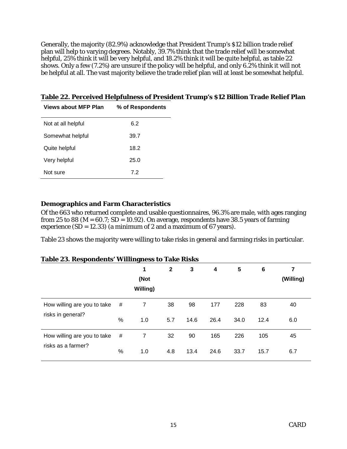Generally, the majority (82.9%) acknowledge that President Trump's \$12 billion trade relief plan will help to varying degrees. Notably, 39.7% think that the trade relief will be somewhat helpful, 25% think it will be very helpful, and 18.2% think it will be quite helpful, as table 22 shows. Only a few (7.2%) are unsure if the policy will be helpful, and only 6.2% think it will not be helpful at all. The vast majority believe the trade relief plan will at least be somewhat helpful.

| <b>Views about MFP Plan</b> | % of Respondents |
|-----------------------------|------------------|
| Not at all helpful          | 6.2              |
| Somewhat helpful            | 39.7             |
| Quite helpful               | 18.2             |
| Very helpful                | 25.0             |
| Not sure                    | 72               |

## **Table 22. Perceived Helpfulness of President Trump's \$12 Billion Trade Relief Plan**

## **Demographics and Farm Characteristics**

Of the 663 who returned complete and usable questionnaires, 96.3% are male, with ages ranging from 25 to 88 ( $M = 60.7$ ; SD = 10.92). On average, respondents have 38.5 years of farming experience  $(SD = 12.33)$  (a minimum of 2 and a maximum of 67 years).

Table 23 shows the majority were willing to take risks in general and farming risks in particular.

## **Table 23. Respondents' Willingness to Take Risks**

|                             |      | 1<br>(Not<br>Willing) | $\mathbf{2}$ | 3    | 4    | 5    | 6    | 7<br>(Willing) |
|-----------------------------|------|-----------------------|--------------|------|------|------|------|----------------|
| How willing are you to take | #    | $\overline{7}$        | 38           | 98   | 177  | 228  | 83   | 40             |
| risks in general?           | %    | 1.0                   | 5.7          | 14.6 | 26.4 | 34.0 | 12.4 | 6.0            |
| How willing are you to take | #    | 7                     | 32           | 90   | 165  | 226  | 105  | 45             |
| risks as a farmer?          | $\%$ | 1.0                   | 4.8          | 13.4 | 24.6 | 33.7 | 15.7 | 6.7            |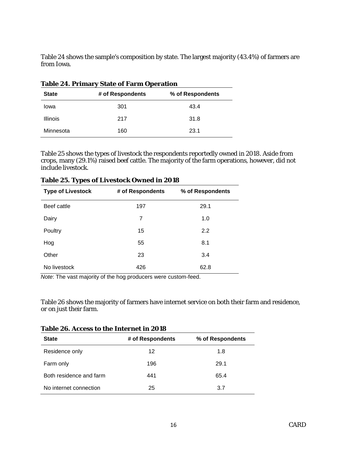Table 24 shows the sample's composition by state. The largest majority (43.4%) of farmers are from Iowa.

| Table 24. Primary State of Farm Operation |                  |                  |
|-------------------------------------------|------------------|------------------|
| <b>State</b>                              | # of Respondents | % of Respondents |
| lowa                                      | 301              | 43.4             |
| <b>Illinois</b>                           | 217              | 31.8             |
| Minnesota                                 | 160              | 23.1             |

|--|

Table 25 shows the types of livestock the respondents reportedly owned in 2018. Aside from crops, many (29.1%) raised beef cattle. The majority of the farm operations, however, did not include livestock.

|                          | Tubic so. Types of Ervestock Owned in solo |                  |
|--------------------------|--------------------------------------------|------------------|
| <b>Type of Livestock</b> | # of Respondents                           | % of Respondents |
| Beef cattle              | 197                                        | 29.1             |
| Dairy                    | 7                                          | 1.0              |
| Poultry                  | 15                                         | 2.2              |
| Hog                      | 55                                         | 8.1              |
| Other                    | 23                                         | 3.4              |
| No livestock             | 426                                        | 62.8             |

**Table 25. Types of Livestock Owned in 2018**

*Note*: The vast majority of the hog producers were custom-feed.

Table 26 shows the majority of farmers have internet service on both their farm and residence, or on just their farm.

| <b>State</b>            | # of Respondents | % of Respondents |
|-------------------------|------------------|------------------|
| Residence only          | 12               | 1.8              |
| Farm only               | 196              | 29.1             |
| Both residence and farm | 441              | 65.4             |
| No internet connection  | 25               | 3.7              |

**Table 26. Access to the Internet in 2018**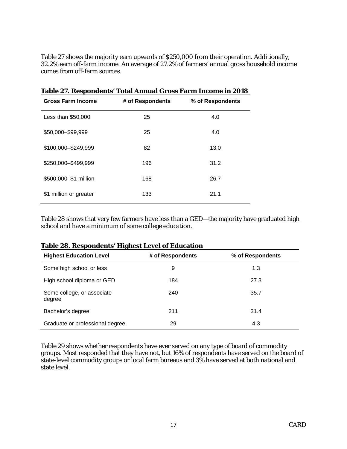Table 27 shows the majority earn upwards of \$250,000 from their operation. Additionally, 32.2% earn off-farm income. An average of 27.2% of farmers' annual gross household income comes from off-farm sources.

|                          | Table & A. Respondence Total Annual Gross Farm Income in Wolo |                  |
|--------------------------|---------------------------------------------------------------|------------------|
| <b>Gross Farm Income</b> | # of Respondents                                              | % of Respondents |
| Less than \$50,000       | 25                                                            | 4.0              |
| \$50,000-\$99,999        | 25                                                            | 4.0              |
| \$100,000-\$249,999      | 82                                                            | 13.0             |
| \$250,000-\$499,999      | 196                                                           | 31.2             |
| \$500,000-\$1 million    | 168                                                           | 26.7             |
| \$1 million or greater   | 133                                                           | 21.1             |
|                          |                                                               |                  |

**Table 27. Respondents' Total Annual Gross Farm Income in 2018**

Table 28 shows that very few farmers have less than a GED—the majority have graduated high school and have a minimum of some college education.

| <b>Table 28. Respondents' Highest Level of Education</b> |  |
|----------------------------------------------------------|--|
|----------------------------------------------------------|--|

| <b>Highest Education Level</b>       | # of Respondents | % of Respondents |
|--------------------------------------|------------------|------------------|
| Some high school or less             | 9                | 1.3              |
| High school diploma or GED           | 184              | 27.3             |
| Some college, or associate<br>degree | 240              | 35.7             |
| Bachelor's degree                    | 211              | 31.4             |
| Graduate or professional degree      | 29               | 4.3              |

Table 29 shows whether respondents have ever served on any type of board of commodity groups. Most responded that they have not, but 16% of respondents have served on the board of state-level commodity groups or local farm bureaus and 3% have served at both national and state level.